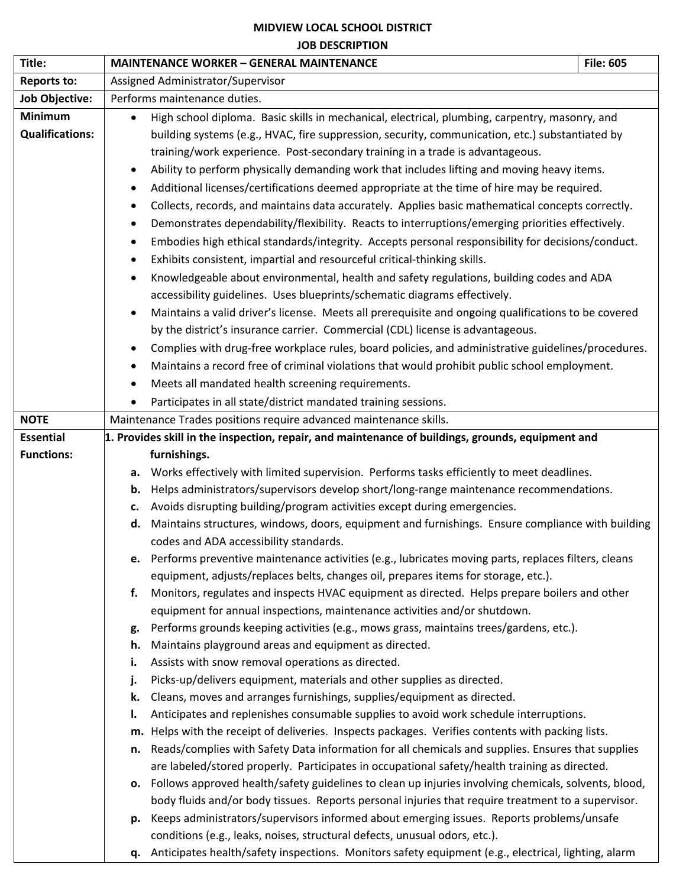## **MIDVIEW LOCAL SCHOOL DISTRICT JOB DESCRIPTION**

| Title:                 | <b>MAINTENANCE WORKER - GENERAL MAINTENANCE</b>                                                                 | <b>File: 605</b>                                                                                |  |
|------------------------|-----------------------------------------------------------------------------------------------------------------|-------------------------------------------------------------------------------------------------|--|
| <b>Reports to:</b>     | Assigned Administrator/Supervisor                                                                               |                                                                                                 |  |
| <b>Job Objective:</b>  | Performs maintenance duties.                                                                                    |                                                                                                 |  |
| <b>Minimum</b>         | High school diploma. Basic skills in mechanical, electrical, plumbing, carpentry, masonry, and<br>$\bullet$     |                                                                                                 |  |
| <b>Qualifications:</b> |                                                                                                                 | building systems (e.g., HVAC, fire suppression, security, communication, etc.) substantiated by |  |
|                        | training/work experience. Post-secondary training in a trade is advantageous.                                   |                                                                                                 |  |
|                        | Ability to perform physically demanding work that includes lifting and moving heavy items.                      |                                                                                                 |  |
|                        | Additional licenses/certifications deemed appropriate at the time of hire may be required.                      |                                                                                                 |  |
|                        | Collects, records, and maintains data accurately. Applies basic mathematical concepts correctly.                |                                                                                                 |  |
|                        | Demonstrates dependability/flexibility. Reacts to interruptions/emerging priorities effectively.                |                                                                                                 |  |
|                        | Embodies high ethical standards/integrity. Accepts personal responsibility for decisions/conduct.               |                                                                                                 |  |
|                        | Exhibits consistent, impartial and resourceful critical-thinking skills.                                        |                                                                                                 |  |
|                        | Knowledgeable about environmental, health and safety regulations, building codes and ADA                        |                                                                                                 |  |
|                        | accessibility guidelines. Uses blueprints/schematic diagrams effectively.                                       |                                                                                                 |  |
|                        | Maintains a valid driver's license. Meets all prerequisite and ongoing qualifications to be covered             |                                                                                                 |  |
|                        | by the district's insurance carrier. Commercial (CDL) license is advantageous.                                  |                                                                                                 |  |
|                        | Complies with drug-free workplace rules, board policies, and administrative guidelines/procedures.<br>$\bullet$ |                                                                                                 |  |
|                        | Maintains a record free of criminal violations that would prohibit public school employment.<br>$\bullet$       |                                                                                                 |  |
|                        | Meets all mandated health screening requirements.<br>$\bullet$                                                  |                                                                                                 |  |
|                        | Participates in all state/district mandated training sessions.                                                  |                                                                                                 |  |
| <b>NOTE</b>            | Maintenance Trades positions require advanced maintenance skills.                                               |                                                                                                 |  |
| <b>Essential</b>       | 1. Provides skill in the inspection, repair, and maintenance of buildings, grounds, equipment and               |                                                                                                 |  |
| <b>Functions:</b>      | furnishings.                                                                                                    |                                                                                                 |  |
|                        | Works effectively with limited supervision. Performs tasks efficiently to meet deadlines.<br>а.                 |                                                                                                 |  |
|                        | Helps administrators/supervisors develop short/long-range maintenance recommendations.<br>b.                    |                                                                                                 |  |
|                        | Avoids disrupting building/program activities except during emergencies.<br>c.                                  |                                                                                                 |  |
|                        | Maintains structures, windows, doors, equipment and furnishings. Ensure compliance with building<br>d.          |                                                                                                 |  |
|                        | codes and ADA accessibility standards.                                                                          |                                                                                                 |  |
|                        | e. Performs preventive maintenance activities (e.g., lubricates moving parts, replaces filters, cleans          |                                                                                                 |  |
|                        | equipment, adjusts/replaces belts, changes oil, prepares items for storage, etc.).                              |                                                                                                 |  |
|                        | Monitors, regulates and inspects HVAC equipment as directed. Helps prepare boilers and other<br>f.              |                                                                                                 |  |
|                        | equipment for annual inspections, maintenance activities and/or shutdown.                                       |                                                                                                 |  |
|                        | Performs grounds keeping activities (e.g., mows grass, maintains trees/gardens, etc.).<br>g.                    |                                                                                                 |  |
|                        | Maintains playground areas and equipment as directed.<br>h.                                                     |                                                                                                 |  |
|                        | Assists with snow removal operations as directed.<br>i.                                                         |                                                                                                 |  |
|                        | Picks-up/delivers equipment, materials and other supplies as directed.<br>j.                                    |                                                                                                 |  |
|                        | Cleans, moves and arranges furnishings, supplies/equipment as directed.<br>k.                                   |                                                                                                 |  |
|                        | Anticipates and replenishes consumable supplies to avoid work schedule interruptions.<br>ı.                     |                                                                                                 |  |
|                        | m. Helps with the receipt of deliveries. Inspects packages. Verifies contents with packing lists.               |                                                                                                 |  |
|                        | Reads/complies with Safety Data information for all chemicals and supplies. Ensures that supplies<br>n.         |                                                                                                 |  |
|                        | are labeled/stored properly. Participates in occupational safety/health training as directed.                   |                                                                                                 |  |
|                        | o. Follows approved health/safety guidelines to clean up injuries involving chemicals, solvents, blood,         |                                                                                                 |  |
|                        | body fluids and/or body tissues. Reports personal injuries that require treatment to a supervisor.              |                                                                                                 |  |
|                        | Keeps administrators/supervisors informed about emerging issues. Reports problems/unsafe<br>p.                  |                                                                                                 |  |
|                        | conditions (e.g., leaks, noises, structural defects, unusual odors, etc.).                                      |                                                                                                 |  |
|                        | q. Anticipates health/safety inspections. Monitors safety equipment (e.g., electrical, lighting, alarm          |                                                                                                 |  |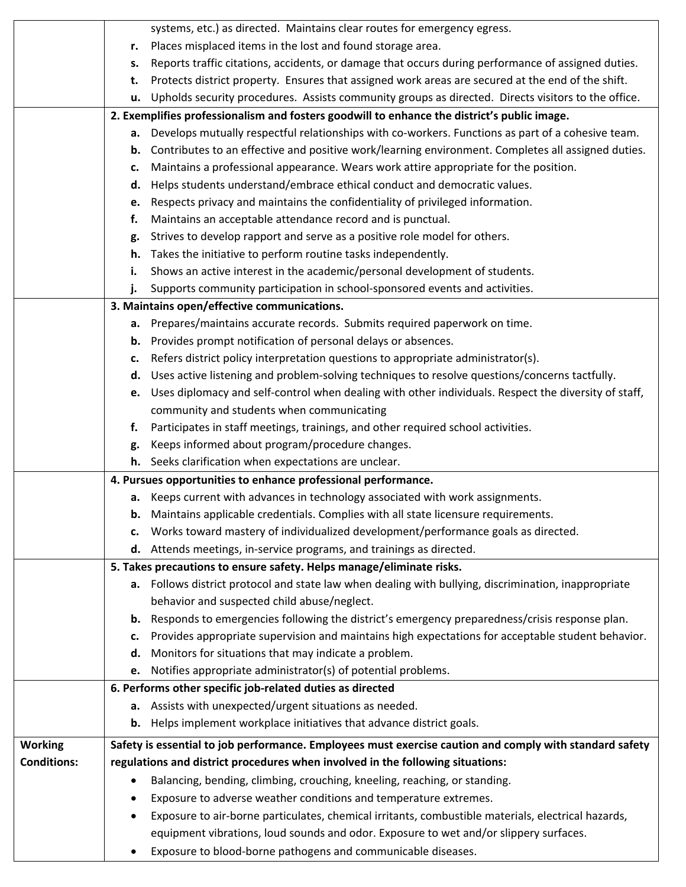|                    |                                                                                             | systems, etc.) as directed. Maintains clear routes for emergency egress.                                |  |  |
|--------------------|---------------------------------------------------------------------------------------------|---------------------------------------------------------------------------------------------------------|--|--|
|                    | r.                                                                                          | Places misplaced items in the lost and found storage area.                                              |  |  |
|                    | s.                                                                                          | Reports traffic citations, accidents, or damage that occurs during performance of assigned duties.      |  |  |
|                    | t.                                                                                          | Protects district property. Ensures that assigned work areas are secured at the end of the shift.       |  |  |
|                    | u.                                                                                          | Upholds security procedures. Assists community groups as directed. Directs visitors to the office.      |  |  |
|                    | 2. Exemplifies professionalism and fosters goodwill to enhance the district's public image. |                                                                                                         |  |  |
|                    |                                                                                             | a. Develops mutually respectful relationships with co-workers. Functions as part of a cohesive team.    |  |  |
|                    | b.                                                                                          | Contributes to an effective and positive work/learning environment. Completes all assigned duties.      |  |  |
|                    | c.                                                                                          | Maintains a professional appearance. Wears work attire appropriate for the position.                    |  |  |
|                    | d.                                                                                          | Helps students understand/embrace ethical conduct and democratic values.                                |  |  |
|                    | e.                                                                                          | Respects privacy and maintains the confidentiality of privileged information.                           |  |  |
|                    | f.                                                                                          | Maintains an acceptable attendance record and is punctual.                                              |  |  |
|                    | g.                                                                                          | Strives to develop rapport and serve as a positive role model for others.                               |  |  |
|                    | h.                                                                                          | Takes the initiative to perform routine tasks independently.                                            |  |  |
|                    | i.                                                                                          | Shows an active interest in the academic/personal development of students.                              |  |  |
|                    | j.                                                                                          | Supports community participation in school-sponsored events and activities.                             |  |  |
|                    |                                                                                             | 3. Maintains open/effective communications.                                                             |  |  |
|                    |                                                                                             | a. Prepares/maintains accurate records. Submits required paperwork on time.                             |  |  |
|                    |                                                                                             | <b>b.</b> Provides prompt notification of personal delays or absences.                                  |  |  |
|                    | c.                                                                                          | Refers district policy interpretation questions to appropriate administrator(s).                        |  |  |
|                    | d.                                                                                          | Uses active listening and problem-solving techniques to resolve questions/concerns tactfully.           |  |  |
|                    |                                                                                             | e. Uses diplomacy and self-control when dealing with other individuals. Respect the diversity of staff, |  |  |
|                    |                                                                                             | community and students when communicating                                                               |  |  |
|                    | f.                                                                                          | Participates in staff meetings, trainings, and other required school activities.                        |  |  |
|                    | g.                                                                                          | Keeps informed about program/procedure changes.                                                         |  |  |
|                    |                                                                                             | h. Seeks clarification when expectations are unclear.                                                   |  |  |
|                    |                                                                                             | 4. Pursues opportunities to enhance professional performance.                                           |  |  |
|                    |                                                                                             | a. Keeps current with advances in technology associated with work assignments.                          |  |  |
|                    |                                                                                             | <b>b.</b> Maintains applicable credentials. Complies with all state licensure requirements.             |  |  |
|                    | c.                                                                                          | Works toward mastery of individualized development/performance goals as directed.                       |  |  |
|                    | d.                                                                                          | Attends meetings, in-service programs, and trainings as directed.                                       |  |  |
|                    |                                                                                             | 5. Takes precautions to ensure safety. Helps manage/eliminate risks.                                    |  |  |
|                    |                                                                                             | a. Follows district protocol and state law when dealing with bullying, discrimination, inappropriate    |  |  |
|                    |                                                                                             | behavior and suspected child abuse/neglect.                                                             |  |  |
|                    | b.                                                                                          | Responds to emergencies following the district's emergency preparedness/crisis response plan.           |  |  |
|                    | c.                                                                                          | Provides appropriate supervision and maintains high expectations for acceptable student behavior.       |  |  |
|                    | d.                                                                                          | Monitors for situations that may indicate a problem.                                                    |  |  |
|                    | e.                                                                                          | Notifies appropriate administrator(s) of potential problems.                                            |  |  |
|                    |                                                                                             | 6. Performs other specific job-related duties as directed                                               |  |  |
|                    |                                                                                             | a. Assists with unexpected/urgent situations as needed.                                                 |  |  |
|                    | b.                                                                                          | Helps implement workplace initiatives that advance district goals.                                      |  |  |
| <b>Working</b>     |                                                                                             | Safety is essential to job performance. Employees must exercise caution and comply with standard safety |  |  |
| <b>Conditions:</b> |                                                                                             | regulations and district procedures when involved in the following situations:                          |  |  |
|                    | $\bullet$                                                                                   | Balancing, bending, climbing, crouching, kneeling, reaching, or standing.                               |  |  |
|                    |                                                                                             | Exposure to adverse weather conditions and temperature extremes.                                        |  |  |
|                    |                                                                                             | Exposure to air-borne particulates, chemical irritants, combustible materials, electrical hazards,      |  |  |
|                    |                                                                                             | equipment vibrations, loud sounds and odor. Exposure to wet and/or slippery surfaces.                   |  |  |
|                    |                                                                                             | Exposure to blood-borne pathogens and communicable diseases.                                            |  |  |
|                    |                                                                                             |                                                                                                         |  |  |